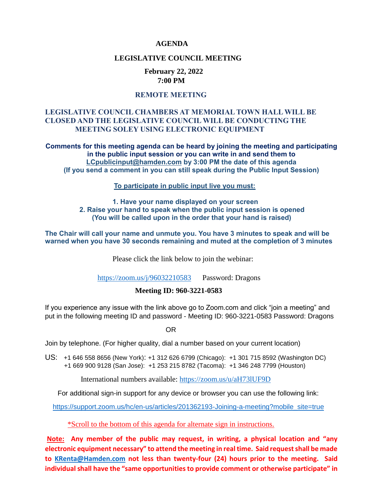#### **AGENDA**

#### **LEGISLATIVE COUNCIL MEETING**

#### **February 22, 2022 7:00 PM**

### **REMOTE MEETING**

### **LEGISLATIVE COUNCIL CHAMBERS AT MEMORIAL TOWN HALL WILL BE CLOSED AND THE LEGISLATIVE COUNCIL WILL BE CONDUCTING THE MEETING SOLEY USING ELECTRONIC EQUIPMENT**

**Comments for this meeting agenda can be heard by joining the meeting and participating in the public input session or you can write in and send them to [LCpublicinput@hamden.com](mailto:LCpublicinput@hamden.com) by 3:00 PM the date of this agenda (If you send a comment in you can still speak during the Public Input Session)**

 **To participate in public input live you must:** 

#### **1. Have your name displayed on your screen 2. Raise your hand to speak when the public input session is opened (You will be called upon in the order that your hand is raised)**

**The Chair will call your name and unmute you. You have 3 minutes to speak and will be warned when you have 30 seconds remaining and muted at the completion of 3 minutes**

Please click the link below to join the webinar:

<https://zoom.us/j/96032210583>Password: Dragons

#### **Meeting ID: 960-3221-0583**

If you experience any issue with the link above go to Zoom.com and click "join a meeting" and put in the following meeting ID and password - Meeting ID: 960-3221-0583 Password: Dragons

OR

Join by telephone. (For higher quality, dial a number based on your current location)

US: [+1 646 558 8656 \(New York\)](tel:+16465588656): [+1 312 626 6799 \(Chicago\):](tel:+13126266799) [+1 301 715 8592 \(Washington DC\)](tel:+13017158592) +1 669 900 9128 (San Jose): [+1 253 215 8782 \(Tacoma\):](tel:+12532158782) [+1 346 248 7799 \(Houston\)](tel:+13462487799)

International numbers available:<https://zoom.us/u/aH73lUF9D>

For additional sign-in support for any device or browser you can use the following link:

[https://support.zoom.us/hc/en-us/articles/201362193-Joining-a-meeting?mobile\\_site=true](https://support.zoom.us/hc/en-us/articles/201362193-Joining-a-meeting?mobile_site=true)

\*Scroll to the bottom of this agenda for alternate sign in instructions.

**Note: Any member of the public may request, in writing, a physical location and "any electronic equipment necessary" to attend the meeting in real time. Said request shall be made to [KRenta@Hamden.com](mailto:KRenta@Hamden.com) not less than twenty-four (24) hours prior to the meeting. Said individual shall have the "same opportunities to provide comment or otherwise participate" in**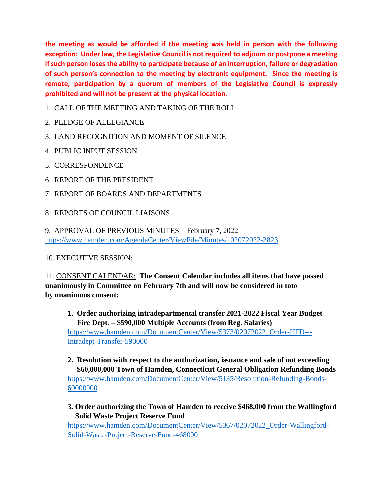**the meeting as would be afforded if the meeting was held in person with the following exception: Under law, the Legislative Council is not required to adjourn or postpone a meeting if such person loses the ability to participate because of an interruption, failure or degradation of such person's connection to the meeting by electronic equipment. Since the meeting is remote, participation by a quorum of members of the Legislative Council is expressly prohibited and will not be present at the physical location.**

- 1. CALL OF THE MEETING AND TAKING OF THE ROLL
- 2. PLEDGE OF ALLEGIANCE
- 3. LAND RECOGNITION AND MOMENT OF SILENCE
- 4. PUBLIC INPUT SESSION
- 5. CORRESPONDENCE
- 6. REPORT OF THE PRESIDENT
- 7. REPORT OF BOARDS AND DEPARTMENTS
- 8. REPORTS OF COUNCIL LIAISONS

9. APPROVAL OF PREVIOUS MINUTES – February 7, 2022 [https://www.hamden.com/AgendaCenter/ViewFile/Minutes/\\_02072022-2823](https://www.hamden.com/AgendaCenter/ViewFile/Minutes/_02072022-2823)

10. EXECUTIVE SESSION:

11. CONSENT CALENDAR: **The Consent Calendar includes all items that have passed unanimously in Committee on February 7th and will now be considered in toto by unanimous consent:**

- **1. Order authorizing intradepartmental transfer 2021-2022 Fiscal Year Budget – Fire Dept. – \$590,000 Multiple Accounts (from Reg. Salaries)** [https://www.hamden.com/DocumentCenter/View/5373/02072022\\_Order-HFD---](https://www.hamden.com/DocumentCenter/View/5373/02072022_Order-HFD---%20%20%20%20%20%20%20Intradept-Transfer-590000)  [Intradept-Transfer-590000](https://www.hamden.com/DocumentCenter/View/5373/02072022_Order-HFD---%20%20%20%20%20%20%20Intradept-Transfer-590000)
- **2. Resolution with respect to the authorization, issuance and sale of not exceeding \$60,000,000 Town of Hamden, Connecticut General Obligation Refunding Bonds** [https://www.hamden.com/DocumentCenter/View/5135/Resolution-Refunding-Bonds-](https://www.hamden.com/DocumentCenter/View/5135/Resolution-Refunding-Bonds-60000000)[60000000](https://www.hamden.com/DocumentCenter/View/5135/Resolution-Refunding-Bonds-60000000)
- **3. Order authorizing the Town of Hamden to receive \$468,000 from the Wallingford Solid Waste Project Reserve Fund**

[https://www.hamden.com/DocumentCenter/View/5367/02072022\\_Order-Wallingford-](https://www.hamden.com/DocumentCenter/View/5367/02072022_Order-Wallingford-Solid-Waste-Project-Reserve-Fund-468000)[Solid-Waste-Project-Reserve-Fund-468000](https://www.hamden.com/DocumentCenter/View/5367/02072022_Order-Wallingford-Solid-Waste-Project-Reserve-Fund-468000)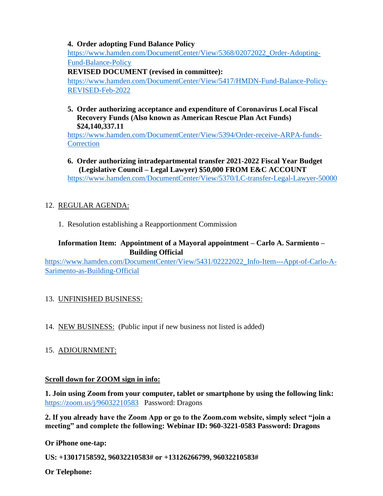### **4. Order adopting Fund Balance Policy**

[https://www.hamden.com/DocumentCenter/View/5368/02072022\\_Order-Adopting-](https://www.hamden.com/DocumentCenter/View/5368/02072022_Order-Adopting-Fund-Balance-Policy)[Fund-Balance-Policy](https://www.hamden.com/DocumentCenter/View/5368/02072022_Order-Adopting-Fund-Balance-Policy)

**REVISED DOCUMENT (revised in committee):**

[https://www.hamden.com/DocumentCenter/View/5417/HMDN-Fund-Balance-Policy-](https://www.hamden.com/DocumentCenter/View/5417/HMDN-Fund-Balance-Policy-REVISED-Feb-2022)[REVISED-Feb-2022](https://www.hamden.com/DocumentCenter/View/5417/HMDN-Fund-Balance-Policy-REVISED-Feb-2022)

### **5. Order authorizing acceptance and expenditure of Coronavirus Local Fiscal Recovery Funds (Also known as American Rescue Plan Act Funds) \$24,140,337.11**

[https://www.hamden.com/DocumentCenter/View/5394/Order-receive-ARPA-funds-](https://www.hamden.com/DocumentCenter/View/5394/Order-receive-ARPA-funds-Correction)**[Correction](https://www.hamden.com/DocumentCenter/View/5394/Order-receive-ARPA-funds-Correction)** 

### **6. Order authorizing intradepartmental transfer 2021-2022 Fiscal Year Budget (Legislative Council – Legal Lawyer) \$50,000 FROM E&C ACCOUNT** <https://www.hamden.com/DocumentCenter/View/5370/LC-transfer-Legal-Lawyer-50000>

# 12. REGULAR AGENDA:

1. Resolution establishing a Reapportionment Commission

## **Information Item: Appointment of a Mayoral appointment – Carlo A. Sarmiento – Building Official**

[https://www.hamden.com/DocumentCenter/View/5431/02222022\\_Info-Item---Appt-of-Carlo-A-](https://www.hamden.com/DocumentCenter/View/5431/02222022_Info-Item---Appt-of-Carlo-A-Sarimento-as-Building-Official)[Sarimento-as-Building-Official](https://www.hamden.com/DocumentCenter/View/5431/02222022_Info-Item---Appt-of-Carlo-A-Sarimento-as-Building-Official)

## 13. UNFINISHED BUSINESS:

14. NEW BUSINESS: (Public input if new business not listed is added)

## 15. ADJOURNMENT:

## **Scroll down for ZOOM sign in info:**

**1. Join using Zoom from your computer, tablet or smartphone by using the following link:** <https://zoom.us/j/96032210583>Password: Dragons

**2. If you already have the Zoom App or go to the Zoom.com website, simply select "join a meeting" and complete the following: Webinar ID: 960-3221-0583 Password: Dragons**

**Or iPhone one-tap:**

**US: +13017158592, 96032210583# or +13126266799, 96032210583#** 

**Or Telephone:**